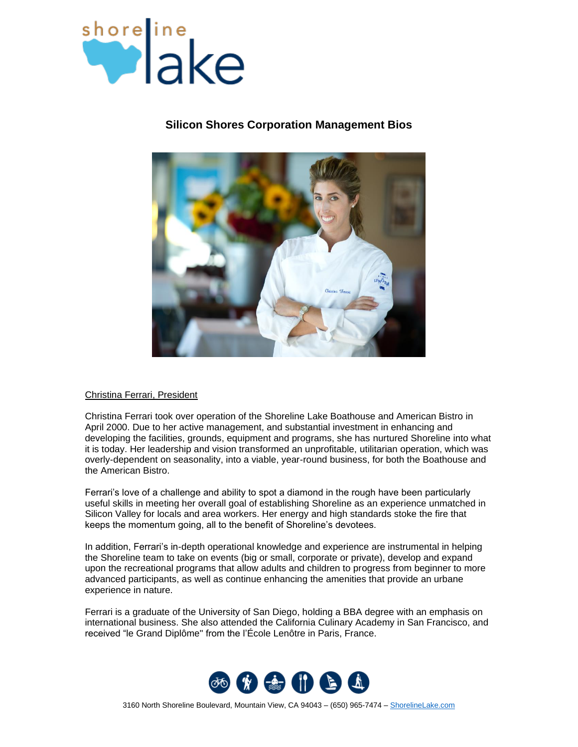

# **Silicon Shores Corporation Management Bios**



# Christina Ferrari, President

Christina Ferrari took over operation of the Shoreline Lake Boathouse and American Bistro in April 2000. Due to her active management, and substantial investment in enhancing and developing the facilities, grounds, equipment and programs, she has nurtured Shoreline into what it is today. Her leadership and vision transformed an unprofitable, utilitarian operation, which was overly-dependent on seasonality, into a viable, year-round business, for both the Boathouse and the American Bistro.

Ferrari's love of a challenge and ability to spot a diamond in the rough have been particularly useful skills in meeting her overall goal of establishing Shoreline as an experience unmatched in Silicon Valley for locals and area workers. Her energy and high standards stoke the fire that keeps the momentum going, all to the benefit of Shoreline's devotees.

In addition, Ferrari's in-depth operational knowledge and experience are instrumental in helping the Shoreline team to take on events (big or small, corporate or private), develop and expand upon the recreational programs that allow adults and children to progress from beginner to more advanced participants, as well as continue enhancing the amenities that provide an urbane experience in nature.

Ferrari is a graduate of the University of San Diego, holding a BBA degree with an emphasis on international business. She also attended the California Culinary Academy in San Francisco, and received "le Grand Diplôme" from the l'École Lenôtre in Paris, France.